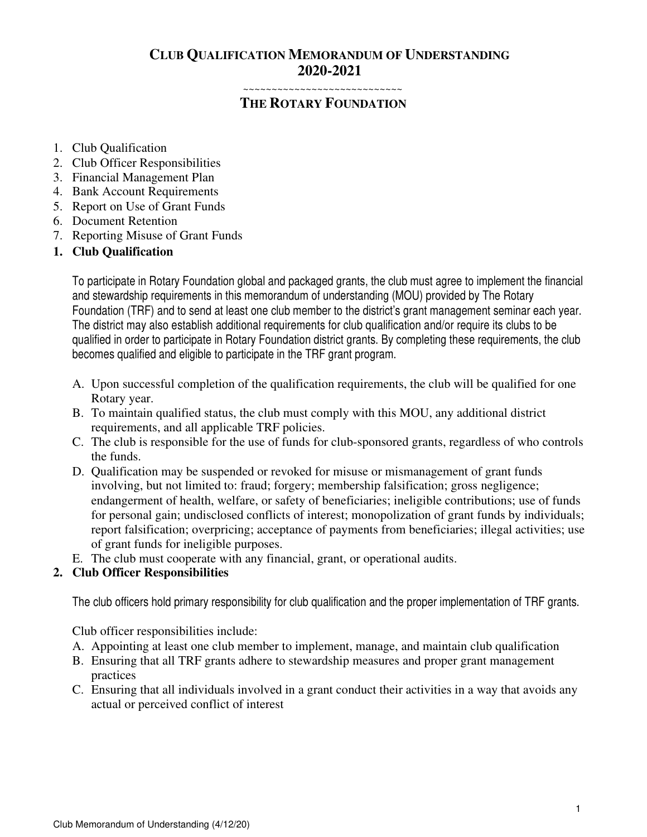## **CLUB QUALIFICATION MEMORANDUM OF UNDERSTANDING 2020-2021**

~~~~~~~~~~~~~~~~~~~~~~~

# **THE ROTARY FOUNDATION**

- 1. Club Qualification
- 2. Club Officer Responsibilities
- 3. Financial Management Plan
- 4. Bank Account Requirements
- 5. Report on Use of Grant Funds
- 6. Document Retention
- 7. Reporting Misuse of Grant Funds

### **1. Club Qualification**

To participate in Rotary Foundation global and packaged grants, the club must agree to implement the financial and stewardship requirements in this memorandum of understanding (MOU) provided by The Rotary Foundation (TRF) and to send at least one club member to the district's grant management seminar each year. The district may also establish additional requirements for club qualification and/or require its clubs to be qualified in order to participate in Rotary Foundation district grants. By completing these requirements, the club becomes qualified and eligible to participate in the TRF grant program.

- A. Upon successful completion of the qualification requirements, the club will be qualified for one Rotary year.
- B. To maintain qualified status, the club must comply with this MOU, any additional district requirements, and all applicable TRF policies.
- C. The club is responsible for the use of funds for club-sponsored grants, regardless of who controls the funds.
- D. Qualification may be suspended or revoked for misuse or mismanagement of grant funds involving, but not limited to: fraud; forgery; membership falsification; gross negligence; endangerment of health, welfare, or safety of beneficiaries; ineligible contributions; use of funds for personal gain; undisclosed conflicts of interest; monopolization of grant funds by individuals; report falsification; overpricing; acceptance of payments from beneficiaries; illegal activities; use of grant funds for ineligible purposes.
- E. The club must cooperate with any financial, grant, or operational audits.

### **2. Club Officer Responsibilities**

The club officers hold primary responsibility for club qualification and the proper implementation of TRF grants.

Club officer responsibilities include:

- A. Appointing at least one club member to implement, manage, and maintain club qualification
- B. Ensuring that all TRF grants adhere to stewardship measures and proper grant management practices
- C. Ensuring that all individuals involved in a grant conduct their activities in a way that avoids any actual or perceived conflict of interest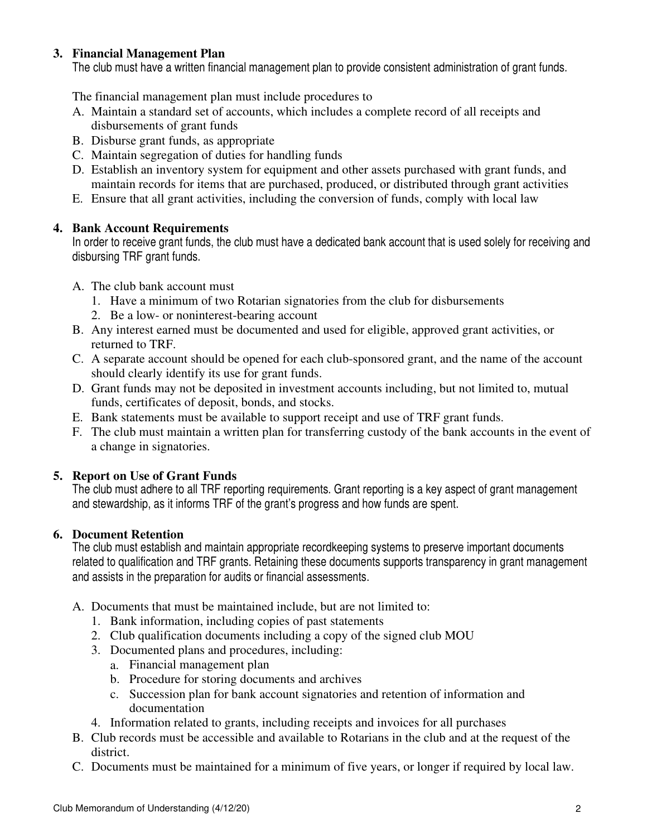### **3. Financial Management Plan**

The club must have a written financial management plan to provide consistent administration of grant funds.

The financial management plan must include procedures to

- A. Maintain a standard set of accounts, which includes a complete record of all receipts and disbursements of grant funds
- B. Disburse grant funds, as appropriate
- C. Maintain segregation of duties for handling funds
- D. Establish an inventory system for equipment and other assets purchased with grant funds, and maintain records for items that are purchased, produced, or distributed through grant activities
- E. Ensure that all grant activities, including the conversion of funds, comply with local law

### **4. Bank Account Requirements**

In order to receive grant funds, the club must have a dedicated bank account that is used solely for receiving and disbursing TRF grant funds.

- A. The club bank account must
	- 1. Have a minimum of two Rotarian signatories from the club for disbursements
	- 2. Be a low- or noninterest-bearing account
- B. Any interest earned must be documented and used for eligible, approved grant activities, or returned to TRF.
- C. A separate account should be opened for each club-sponsored grant, and the name of the account should clearly identify its use for grant funds.
- D. Grant funds may not be deposited in investment accounts including, but not limited to, mutual funds, certificates of deposit, bonds, and stocks.
- E. Bank statements must be available to support receipt and use of TRF grant funds.
- F. The club must maintain a written plan for transferring custody of the bank accounts in the event of a change in signatories.

### **5. Report on Use of Grant Funds**

The club must adhere to all TRF reporting requirements. Grant reporting is a key aspect of grant management and stewardship, as it informs TRF of the grant's progress and how funds are spent.

### **6. Document Retention**

The club must establish and maintain appropriate recordkeeping systems to preserve important documents related to qualification and TRF grants. Retaining these documents supports transparency in grant management and assists in the preparation for audits or financial assessments.

- A. Documents that must be maintained include, but are not limited to:
	- 1. Bank information, including copies of past statements
	- 2. Club qualification documents including a copy of the signed club MOU
	- 3. Documented plans and procedures, including:
		- a. Financial management plan
		- b. Procedure for storing documents and archives
		- c. Succession plan for bank account signatories and retention of information and documentation
	- 4. Information related to grants, including receipts and invoices for all purchases
- B. Club records must be accessible and available to Rotarians in the club and at the request of the district.
- C. Documents must be maintained for a minimum of five years, or longer if required by local law.